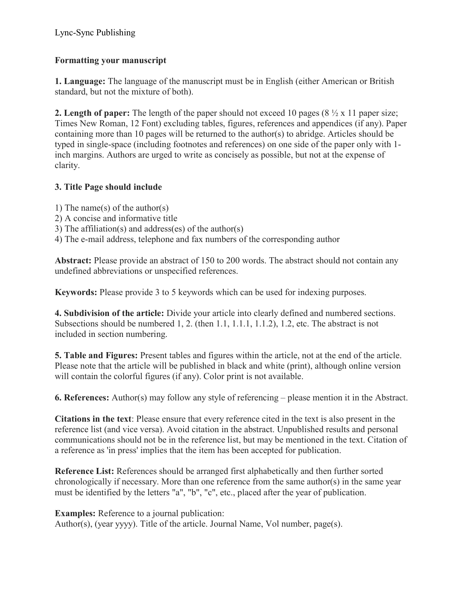## Lync-Sync Publishing

## Formatting your manuscript

1. Language: The language of the manuscript must be in English (either American or British standard, but not the mixture of both).

**2. Length of paper:** The length of the paper should not exceed 10 pages  $(8 \frac{1}{2} \times 11)$  paper size; Times New Roman, 12 Font) excluding tables, figures, references and appendices (if any). Paper containing more than 10 pages will be returned to the author(s) to abridge. Articles should be typed in single-space (including footnotes and references) on one side of the paper only with 1 inch margins. Authors are urged to write as concisely as possible, but not at the expense of clarity.

## 3. Title Page should include

- 1) The name(s) of the author(s)
- 2) A concise and informative title
- 3) The affiliation(s) and address(es) of the author(s)

4) The e-mail address, telephone and fax numbers of the corresponding author

Abstract: Please provide an abstract of 150 to 200 words. The abstract should not contain any undefined abbreviations or unspecified references.

Keywords: Please provide 3 to 5 keywords which can be used for indexing purposes.

4. Subdivision of the article: Divide your article into clearly defined and numbered sections. Subsections should be numbered 1, 2. (then 1.1, 1.1.1, 1.1.2), 1.2, etc. The abstract is not included in section numbering.

5. Table and Figures: Present tables and figures within the article, not at the end of the article. Please note that the article will be published in black and white (print), although online version will contain the colorful figures (if any). Color print is not available.

6. References: Author(s) may follow any style of referencing – please mention it in the Abstract.

Citations in the text: Please ensure that every reference cited in the text is also present in the reference list (and vice versa). Avoid citation in the abstract. Unpublished results and personal communications should not be in the reference list, but may be mentioned in the text. Citation of a reference as 'in press' implies that the item has been accepted for publication.

Reference List: References should be arranged first alphabetically and then further sorted chronologically if necessary. More than one reference from the same author(s) in the same year must be identified by the letters "a", "b", "c", etc., placed after the year of publication.

Examples: Reference to a journal publication:

Author(s), (year yyyy). Title of the article. Journal Name, Vol number, page(s).